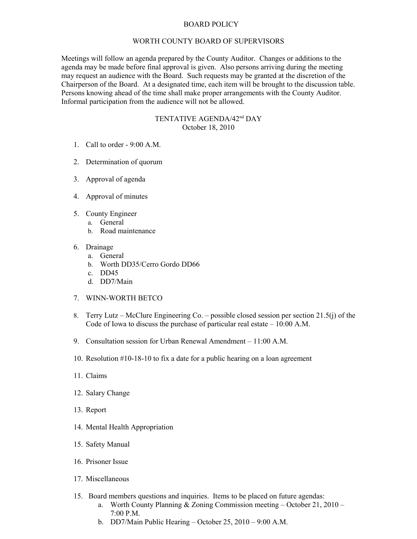## BOARD POLICY

## WORTH COUNTY BOARD OF SUPERVISORS

Meetings will follow an agenda prepared by the County Auditor. Changes or additions to the agenda may be made before final approval is given. Also persons arriving during the meeting may request an audience with the Board. Such requests may be granted at the discretion of the Chairperson of the Board. At a designated time, each item will be brought to the discussion table. Persons knowing ahead of the time shall make proper arrangements with the County Auditor. Informal participation from the audience will not be allowed.

## TENTATIVE AGENDA/42nd DAY October 18, 2010

- 1. Call to order 9:00 A.M.
- 2. Determination of quorum
- 3. Approval of agenda
- 4. Approval of minutes
- 5. County Engineer
	- a. General
		- b. Road maintenance
- 6. Drainage
	- a. General
	- b. Worth DD35/Cerro Gordo DD66
	- c. DD45
	- d. DD7/Main
- 7. WINN-WORTH BETCO
- 8. Terry Lutz McClure Engineering Co. possible closed session per section 21.5(j) of the Code of Iowa to discuss the purchase of particular real estate – 10:00 A.M.
- 9. Consultation session for Urban Renewal Amendment 11:00 A.M.
- 10. Resolution #10-18-10 to fix a date for a public hearing on a loan agreement
- 11. Claims
- 12. Salary Change
- 13. Report
- 14. Mental Health Appropriation
- 15. Safety Manual
- 16. Prisoner Issue
- 17. Miscellaneous
- 15. Board members questions and inquiries. Items to be placed on future agendas:
	- a. Worth County Planning & Zoning Commission meeting October 21, 2010 7:00 P.M.
	- b. DD7/Main Public Hearing October 25, 2010 9:00 A.M.